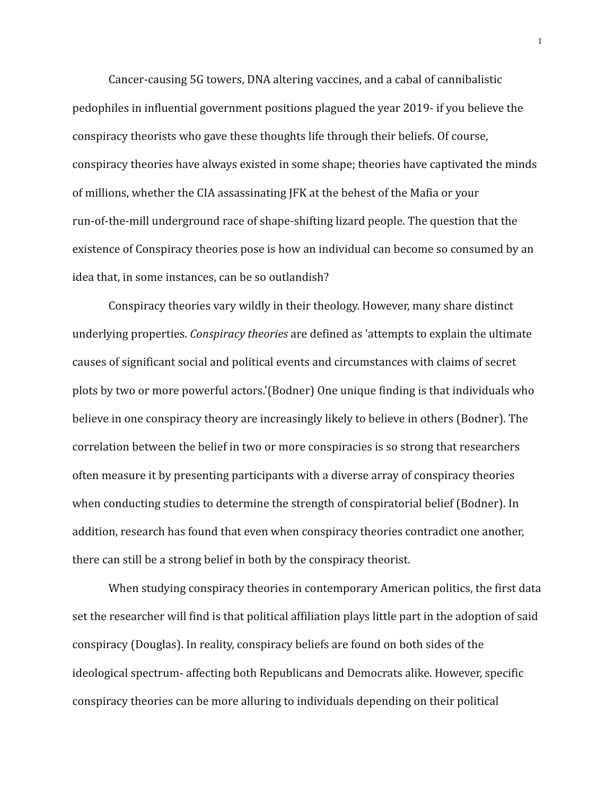Cancer-causing 5G towers, DNA altering vaccines, and a cabal of cannibalistic pedophiles in influential government positions plagued the year 2019- if you believe the conspiracy theorists who gave these thoughts life through their beliefs. Of course, conspiracy theories have always existed in some shape; theories have captivated the minds of millions, whether the CIA assassinating JFK at the behest of the Mafia or your run-of-the-mill underground race of shape-shifting lizard people. The question that the existence of Conspiracy theories pose is how an individual can become so consumed by an idea that, in some instances, can be so outlandish?

Conspiracy theories vary wildly in their theology. However, many share distinct underlying properties. *Conspiracy theories* are defined as 'attempts to explain the ultimate causes of significant social and political events and circumstances with claims of secret plots by two or more powerful actors.'(Bodner) One unique finding is that individuals who believe in one conspiracy theory are increasingly likely to believe in others (Bodner). The correlation between the belief in two or more conspiracies is so strong that researchers often measure it by presenting participants with a diverse array of conspiracy theories when conducting studies to determine the strength of conspiratorial belief (Bodner). In addition, research has found that even when conspiracy theories contradict one another, there can still be a strong belief in both by the conspiracy theorist.

When studying conspiracy theories in contemporary American politics, the first data set the researcher will find is that political affiliation plays little part in the adoption of said conspiracy (Douglas). In reality, conspiracy beliefs are found on both sides of the ideological spectrum- affecting both Republicans and Democrats alike. However, specific conspiracy theories can be more alluring to individuals depending on their political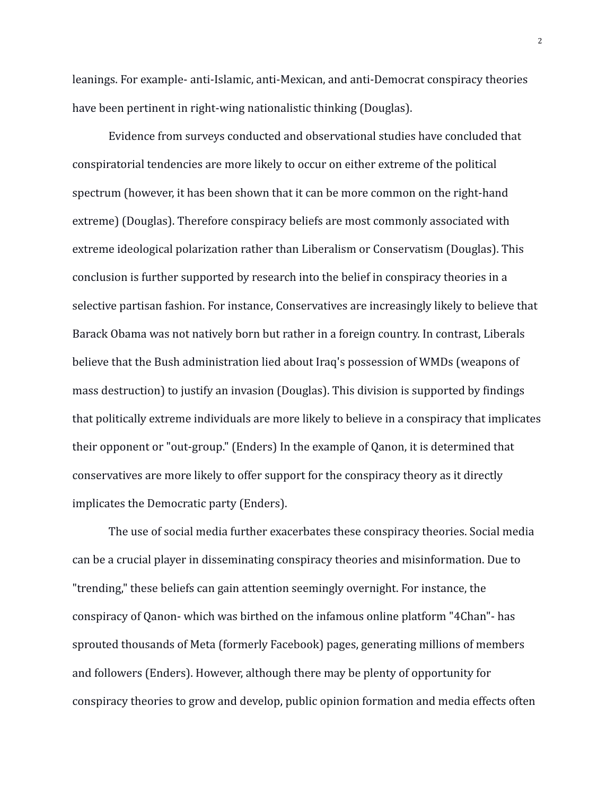leanings. For example- anti-Islamic, anti-Mexican, and anti-Democrat conspiracy theories have been pertinent in right-wing nationalistic thinking (Douglas).

Evidence from surveys conducted and observational studies have concluded that conspiratorial tendencies are more likely to occur on either extreme of the political spectrum (however, it has been shown that it can be more common on the right-hand extreme) (Douglas). Therefore conspiracy beliefs are most commonly associated with extreme ideological polarization rather than Liberalism or Conservatism (Douglas). This conclusion is further supported by research into the belief in conspiracy theories in a selective partisan fashion. For instance, Conservatives are increasingly likely to believe that Barack Obama was not natively born but rather in a foreign country. In contrast, Liberals believe that the Bush administration lied about Iraq's possession of WMDs (weapons of mass destruction) to justify an invasion (Douglas). This division is supported by findings that politically extreme individuals are more likely to believe in a conspiracy that implicates their opponent or "out-group." (Enders) In the example of Qanon, it is determined that conservatives are more likely to offer support for the conspiracy theory as it directly implicates the Democratic party (Enders).

The use of social media further exacerbates these conspiracy theories. Social media can be a crucial player in disseminating conspiracy theories and misinformation. Due to "trending," these beliefs can gain attention seemingly overnight. For instance, the conspiracy of Qanon- which was birthed on the infamous online platform "4Chan"- has sprouted thousands of Meta (formerly Facebook) pages, generating millions of members and followers (Enders). However, although there may be plenty of opportunity for conspiracy theories to grow and develop, public opinion formation and media effects often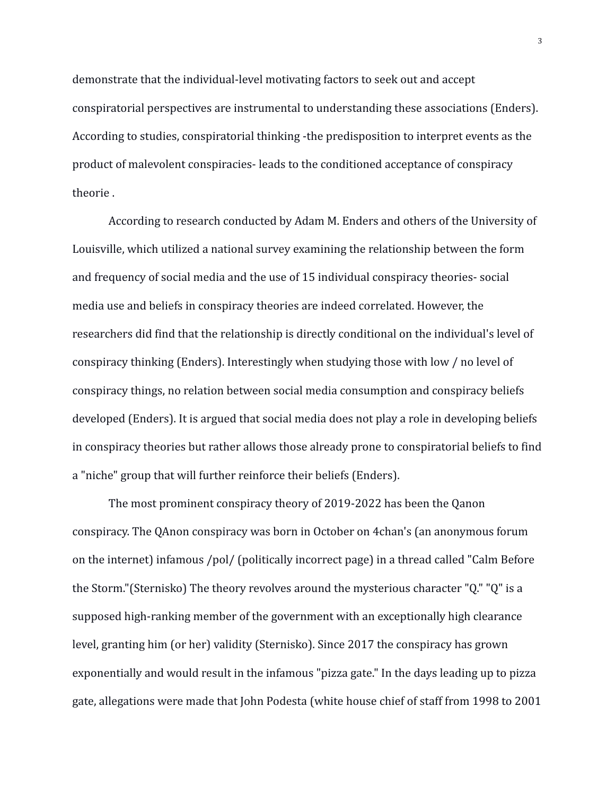demonstrate that the individual-level motivating factors to seek out and accept conspiratorial perspectives are instrumental to understanding these associations (Enders). According to studies, conspiratorial thinking -the predisposition to interpret events as the product of malevolent conspiracies- leads to the conditioned acceptance of conspiracy theorie .

According to research conducted by Adam M. Enders and others of the University of Louisville, which utilized a national survey examining the relationship between the form and frequency of social media and the use of 15 individual conspiracy theories- social media use and beliefs in conspiracy theories are indeed correlated. However, the researchers did find that the relationship is directly conditional on the individual's level of conspiracy thinking (Enders). Interestingly when studying those with low / no level of conspiracy things, no relation between social media consumption and conspiracy beliefs developed (Enders). It is argued that social media does not play a role in developing beliefs in conspiracy theories but rather allows those already prone to conspiratorial beliefs to find a "niche" group that will further reinforce their beliefs (Enders).

The most prominent conspiracy theory of 2019-2022 has been the Qanon conspiracy. The QAnon conspiracy was born in October on 4chan's (an anonymous forum on the internet) infamous /pol/ (politically incorrect page) in a thread called "Calm Before the Storm."(Sternisko) The theory revolves around the mysterious character "Q." "Q" is a supposed high-ranking member of the government with an exceptionally high clearance level, granting him (or her) validity (Sternisko). Since 2017 the conspiracy has grown exponentially and would result in the infamous "pizza gate." In the days leading up to pizza gate, allegations were made that John Podesta (white house chief of staff from 1998 to 2001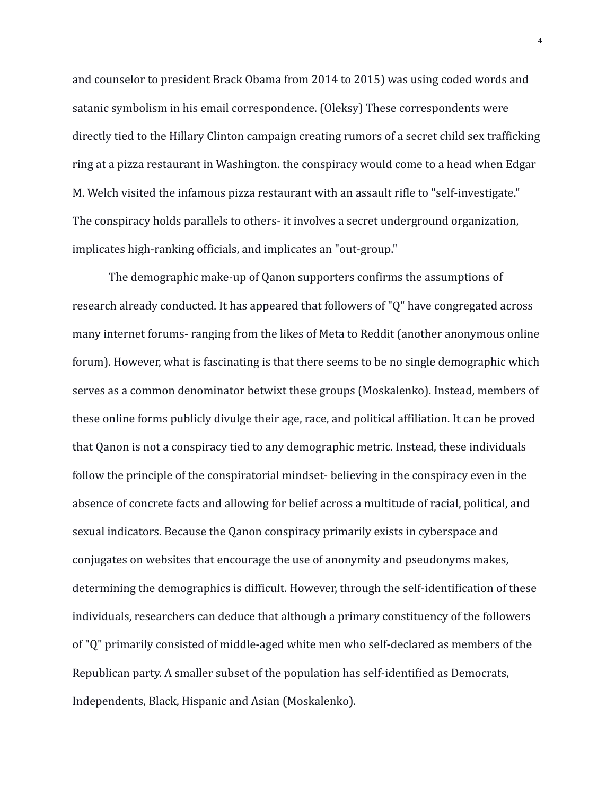and counselor to president Brack Obama from 2014 to 2015) was using coded words and satanic symbolism in his email correspondence. (Oleksy) These correspondents were directly tied to the Hillary Clinton campaign creating rumors of a secret child sex trafficking ring at a pizza restaurant in Washington. the conspiracy would come to a head when Edgar M. Welch visited the infamous pizza restaurant with an assault rifle to "self-investigate." The conspiracy holds parallels to others- it involves a secret underground organization, implicates high-ranking officials, and implicates an "out-group."

The demographic make-up of Qanon supporters confirms the assumptions of research already conducted. It has appeared that followers of "Q" have congregated across many internet forums- ranging from the likes of Meta to Reddit (another anonymous online forum). However, what is fascinating is that there seems to be no single demographic which serves as a common denominator betwixt these groups (Moskalenko). Instead, members of these online forms publicly divulge their age, race, and political affiliation. It can be proved that Qanon is not a conspiracy tied to any demographic metric. Instead, these individuals follow the principle of the conspiratorial mindset- believing in the conspiracy even in the absence of concrete facts and allowing for belief across a multitude of racial, political, and sexual indicators. Because the Qanon conspiracy primarily exists in cyberspace and conjugates on websites that encourage the use of anonymity and pseudonyms makes, determining the demographics is difficult. However, through the self-identification of these individuals, researchers can deduce that although a primary constituency of the followers of "Q" primarily consisted of middle-aged white men who self-declared as members of the Republican party. A smaller subset of the population has self-identified as Democrats, Independents, Black, Hispanic and Asian (Moskalenko).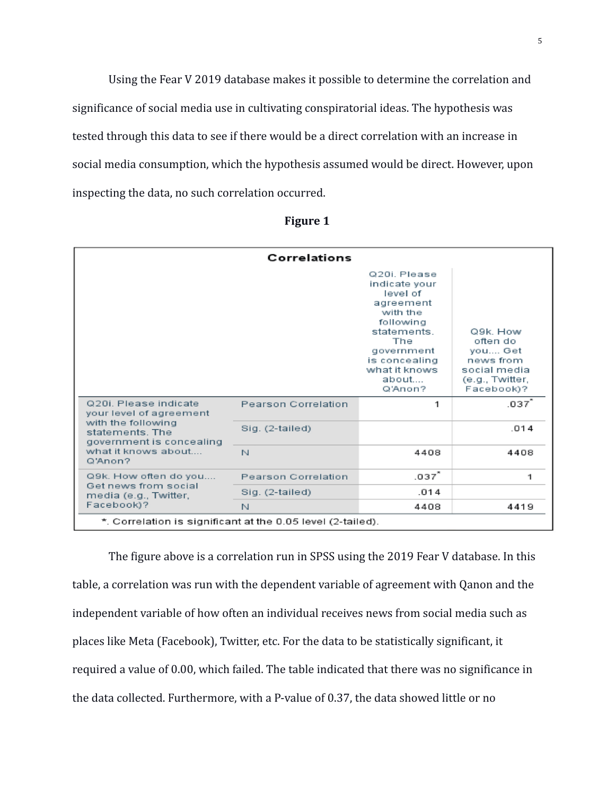Using the Fear V 2019 database makes it possible to determine the correlation and significance of social media use in cultivating conspiratorial ideas. The hypothesis was tested through this data to see if there would be a direct correlation with an increase in social media consumption, which the hypothesis assumed would be direct. However, upon inspecting the data, no such correlation occurred.

| Correlations                                                                                                                                            |                            |                                                                                                                                                                          |                                                                                               |  |
|---------------------------------------------------------------------------------------------------------------------------------------------------------|----------------------------|--------------------------------------------------------------------------------------------------------------------------------------------------------------------------|-----------------------------------------------------------------------------------------------|--|
|                                                                                                                                                         |                            | Q20i Please<br>indicate vour<br>level of<br>agreement<br>with the<br>following<br>statements.<br>The<br>government<br>is concealing<br>what it knows<br>about<br>Q'Anon? | Q9k, How<br>often do<br>you Get<br>news from<br>social media<br>(e.g., Twitter,<br>Facebook)? |  |
| Q20i. Please indicate<br>your level of agreement<br>with the following<br>statements. The<br>government is concealing<br>what it knows about<br>Q'Anon? | Pearson Correlation        | 1                                                                                                                                                                        | .037                                                                                          |  |
|                                                                                                                                                         | Sig. (2-tailed)            |                                                                                                                                                                          | .014                                                                                          |  |
|                                                                                                                                                         | N                          | 4408                                                                                                                                                                     | 4408                                                                                          |  |
| Q9k. How often do you<br>Get news from social<br>media (e.g., Twitter,<br>Facebook)?                                                                    | <b>Pearson Correlation</b> | .037^                                                                                                                                                                    | 1                                                                                             |  |
|                                                                                                                                                         | Sig. (2-tailed)            | .014                                                                                                                                                                     |                                                                                               |  |
|                                                                                                                                                         | N                          | 4408                                                                                                                                                                     | 4419                                                                                          |  |
| *. Correlation is significant at the 0.05 level (2-tailed).                                                                                             |                            |                                                                                                                                                                          |                                                                                               |  |

**Figure 1**

The figure above is a correlation run in SPSS using the 2019 Fear V database. In this table, a correlation was run with the dependent variable of agreement with Qanon and the independent variable of how often an individual receives news from social media such as places like Meta (Facebook), Twitter, etc. For the data to be statistically significant, it required a value of 0.00, which failed. The table indicated that there was no significance in the data collected. Furthermore, with a P-value of 0.37, the data showed little or no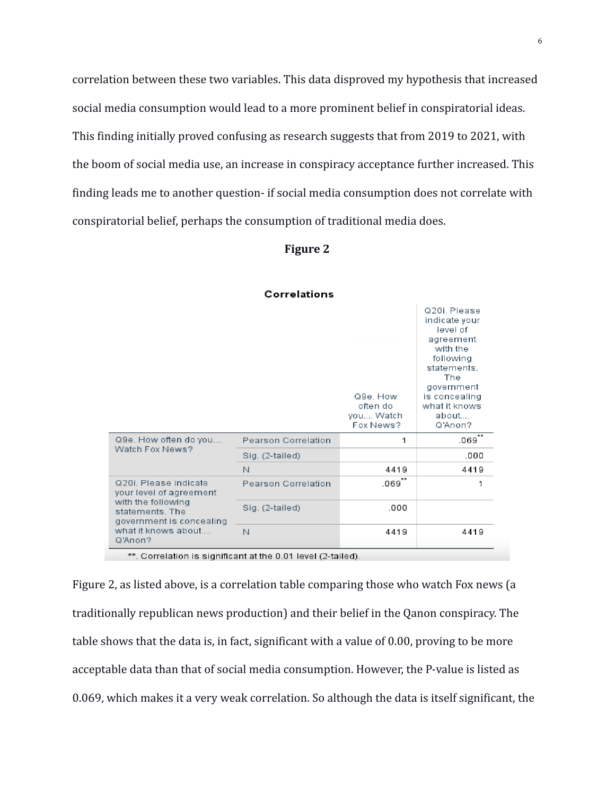correlation between these two variables. This data disproved my hypothesis that increased social media consumption would lead to a more prominent belief in conspiratorial ideas. This finding initially proved confusing as research suggests that from 2019 to 2021, with the boom of social media use, an increase in conspiracy acceptance further increased. This finding leads me to another question- if social media consumption does not correlate with conspiratorial belief, perhaps the consumption of traditional media does.

## **Figure 2**

|                                                                                                                                                         |                     | Q9e. How<br>often do<br>you Watch<br>Fox News? | Q20i Please<br>indicate your<br>level of<br>agreement<br>with the<br>following<br>statements.<br>The<br>government<br>is concealing<br>what it knows<br>about<br>Q'Anon? |
|---------------------------------------------------------------------------------------------------------------------------------------------------------|---------------------|------------------------------------------------|--------------------------------------------------------------------------------------------------------------------------------------------------------------------------|
| Q9e. How often do you<br>Watch Fox News?                                                                                                                | Pearson Correlation | 1                                              | .069                                                                                                                                                                     |
|                                                                                                                                                         | Sig. (2-tailed)     |                                                | .000                                                                                                                                                                     |
|                                                                                                                                                         | N                   | 4419                                           | 4419                                                                                                                                                                     |
| Q20i. Please indicate<br>your level of agreement<br>with the following<br>statements. The<br>government is concealing<br>what it knows about<br>Q'Anon? | Pearson Correlation | $.069^{**}$                                    | 1                                                                                                                                                                        |
|                                                                                                                                                         | Sig. (2-tailed)     | .000                                           |                                                                                                                                                                          |
|                                                                                                                                                         | N                   | 4419                                           | 4419                                                                                                                                                                     |

#### Correlations

\*\*. Correlation is significant at the 0.01 level (2-tailed).

Figure 2, as listed above, is a correlation table comparing those who watch Fox news (a traditionally republican news production) and their belief in the Qanon conspiracy. The table shows that the data is, in fact, significant with a value of 0.00, proving to be more acceptable data than that of social media consumption. However, the P-value is listed as 0.069, which makes it a very weak correlation. So although the data is itself significant, the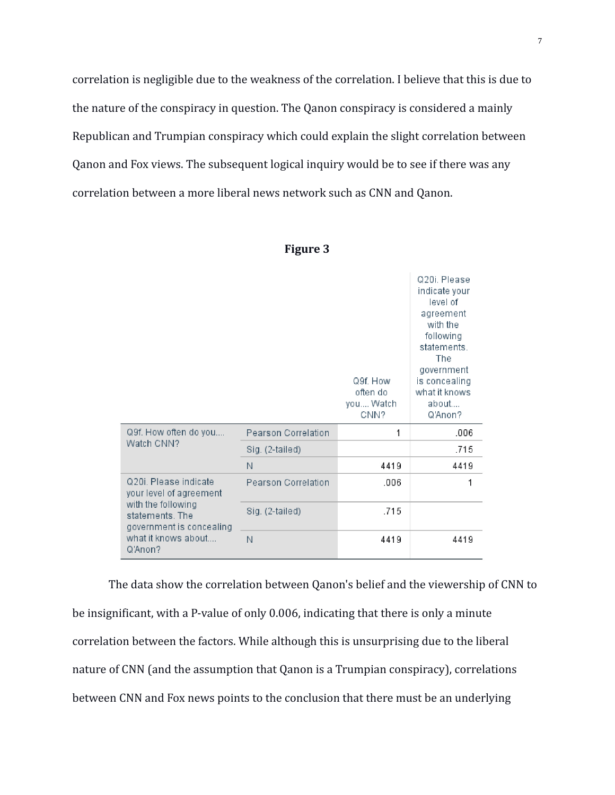correlation is negligible due to the weakness of the correlation. I believe that this is due to the nature of the conspiracy in question. The Qanon conspiracy is considered a mainly Republican and Trumpian conspiracy which could explain the slight correlation between Qanon and Fox views. The subsequent logical inquiry would be to see if there was any correlation between a more liberal news network such as CNN and Qanon.

|                                                                                                                                                         |                     | Q9f. How<br>often do<br>you Watch<br>CNN? | 020i Please<br>indicate your<br>level of<br>agreement<br>with the<br>following<br>statements.<br>The<br>government<br>is concealing<br>what it knows<br>about<br>Q'Anon? |
|---------------------------------------------------------------------------------------------------------------------------------------------------------|---------------------|-------------------------------------------|--------------------------------------------------------------------------------------------------------------------------------------------------------------------------|
| Q9f. How often do you<br>Watch CNN?                                                                                                                     | Pearson Correlation | 1                                         | .006                                                                                                                                                                     |
|                                                                                                                                                         | Sig. (2-tailed)     |                                           | .715                                                                                                                                                                     |
|                                                                                                                                                         | Ν                   | 4419                                      | 4419                                                                                                                                                                     |
| Q20i, Please indicate<br>your level of agreement<br>with the following<br>statements. The<br>government is concealing<br>what it knows about<br>Q'Anon? | Pearson Correlation | .006                                      | 1                                                                                                                                                                        |
|                                                                                                                                                         | Sig. (2-tailed)     | .715                                      |                                                                                                                                                                          |
|                                                                                                                                                         | N                   | 4419                                      | 4419                                                                                                                                                                     |

| ш<br>n |  |
|--------|--|
|--------|--|

The data show the correlation between Qanon's belief and the viewership of CNN to be insignificant, with a P-value of only 0.006, indicating that there is only a minute correlation between the factors. While although this is unsurprising due to the liberal nature of CNN (and the assumption that Qanon is a Trumpian conspiracy), correlations between CNN and Fox news points to the conclusion that there must be an underlying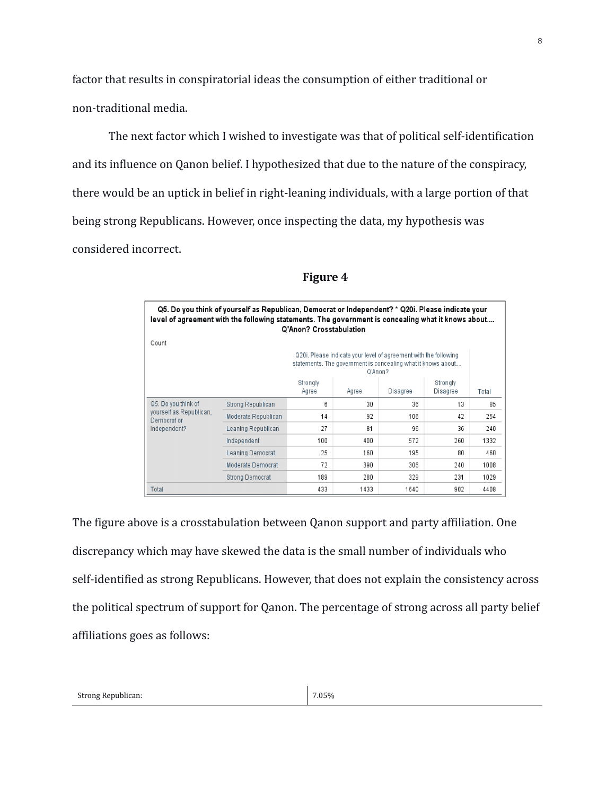factor that results in conspiratorial ideas the consumption of either traditional or non-traditional media.

The next factor which I wished to investigate was that of political self-identification and its influence on Qanon belief. I hypothesized that due to the nature of the conspiracy, there would be an uptick in belief in right-leaning individuals, with a large portion of that being strong Republicans. However, once inspecting the data, my hypothesis was considered incorrect.

| Q5. Do you think of yourself as Republican, Democrat or Independent? * Q20i. Please indicate your<br>level of agreement with the following statements. The government is concealing what it knows about<br>Q'Anon? Crosstabulation |                     |                                                                                                                                             |       |          |                      |       |
|------------------------------------------------------------------------------------------------------------------------------------------------------------------------------------------------------------------------------------|---------------------|---------------------------------------------------------------------------------------------------------------------------------------------|-------|----------|----------------------|-------|
| Count                                                                                                                                                                                                                              |                     |                                                                                                                                             |       |          |                      |       |
|                                                                                                                                                                                                                                    |                     | Q20i. Please indicate your level of agreement with the following<br>statements. The government is concealing what it knows about<br>Q'Anon? |       |          |                      |       |
|                                                                                                                                                                                                                                    |                     | Strongly<br>Agree                                                                                                                           | Agree | Disagree | Strongly<br>Disagree | Total |
| Q5. Do you think of<br>yourself as Republican,<br>Democrat or<br>Independent?                                                                                                                                                      | Strong Republican   | 6                                                                                                                                           | 30    | 36       | 13                   | 85    |
|                                                                                                                                                                                                                                    | Moderate Republican | 14                                                                                                                                          | 92    | 106      | 42                   | 254   |
|                                                                                                                                                                                                                                    | Leaning Republican  | 27                                                                                                                                          | 81    | 96       | 36                   | 240   |
|                                                                                                                                                                                                                                    | Independent         | 100                                                                                                                                         | 400   | 572      | 260                  | 1332  |
|                                                                                                                                                                                                                                    | Leaning Democrat    | 25                                                                                                                                          | 160   | 195      | 80                   | 460   |
|                                                                                                                                                                                                                                    | Moderate Democrat   | 72                                                                                                                                          | 390   | 306      | 240                  | 1008  |
|                                                                                                                                                                                                                                    | Strong Democrat     | 189                                                                                                                                         | 280   | 329      | 231                  | 1029  |
| Total                                                                                                                                                                                                                              |                     | 433                                                                                                                                         | 1433  | 1640     | 902                  | 4408  |

# **Figure 4**

The figure above is a crosstabulation between Qanon support and party affiliation. One discrepancy which may have skewed the data is the small number of individuals who self-identified as strong Republicans. However, that does not explain the consistency across the political spectrum of support for Qanon. The percentage of strong across all party belief affiliations goes as follows: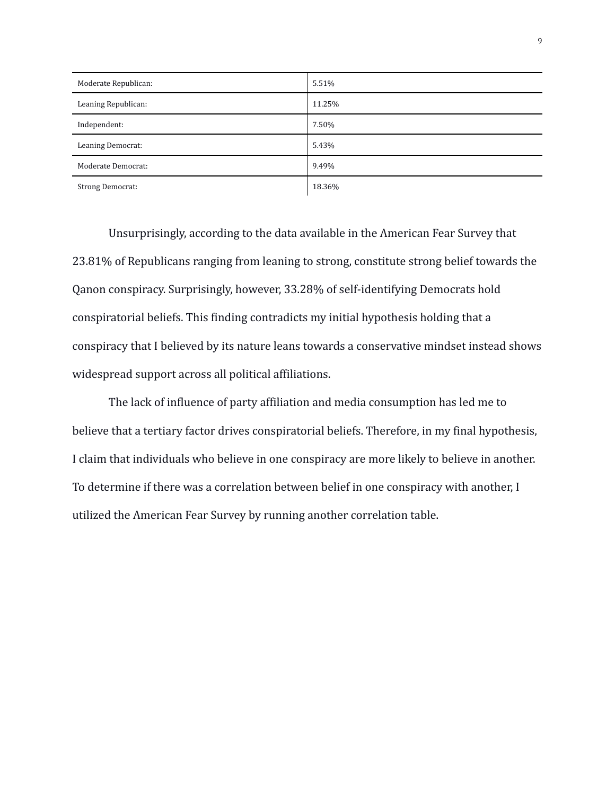| Moderate Republican:    | 5.51%  |
|-------------------------|--------|
| Leaning Republican:     | 11.25% |
| Independent:            | 7.50%  |
| Leaning Democrat:       | 5.43%  |
| Moderate Democrat:      | 9.49%  |
| <b>Strong Democrat:</b> | 18.36% |

Unsurprisingly, according to the data available in the American Fear Survey that 23.81% of Republicans ranging from leaning to strong, constitute strong belief towards the Qanon conspiracy. Surprisingly, however, 33.28% of self-identifying Democrats hold conspiratorial beliefs. This finding contradicts my initial hypothesis holding that a conspiracy that I believed by its nature leans towards a conservative mindset instead shows widespread support across all political affiliations.

The lack of influence of party affiliation and media consumption has led me to believe that a tertiary factor drives conspiratorial beliefs. Therefore, in my final hypothesis, I claim that individuals who believe in one conspiracy are more likely to believe in another. To determine if there was a correlation between belief in one conspiracy with another, I utilized the American Fear Survey by running another correlation table.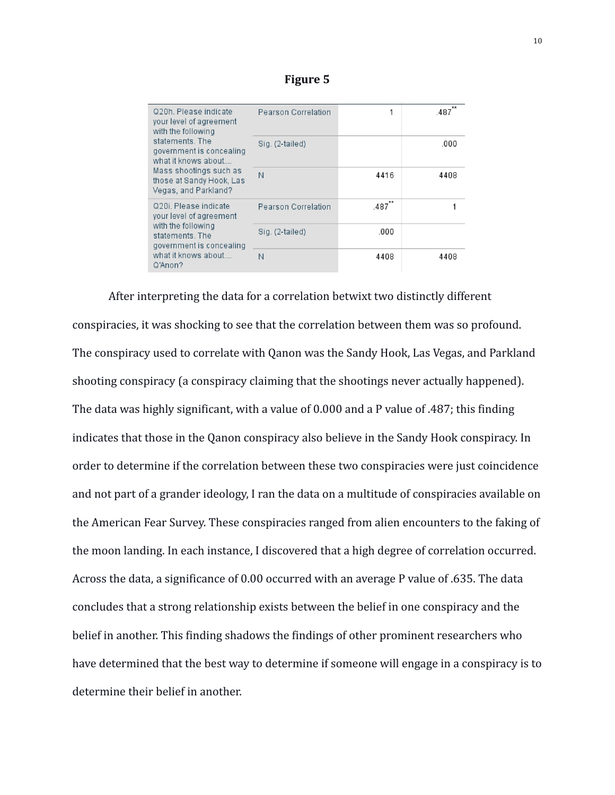| Q20h. Please indicate<br>your level of agreement<br>with the following<br>statements. The<br>government is concealing<br>what it knows about<br>Mass shootings such as<br>those at Sandy Hook, Las<br>Vegas, and Parkland? | Pearson Correlation |      | 487  |
|----------------------------------------------------------------------------------------------------------------------------------------------------------------------------------------------------------------------------|---------------------|------|------|
|                                                                                                                                                                                                                            | Sig. (2-tailed)     |      | .000 |
|                                                                                                                                                                                                                            | Ν                   | 4416 | 4408 |
| Q20i. Please indicate<br>your level of agreement<br>with the following<br>statements. The<br>government is concealing<br>what it knows about<br>Q'Anon?                                                                    | Pearson Correlation | 487  |      |
|                                                                                                                                                                                                                            | Sig. (2-tailed)     | .000 |      |
|                                                                                                                                                                                                                            | Ν                   | 4408 | 4408 |

## **Figure 5**

After interpreting the data for a correlation betwixt two distinctly different conspiracies, it was shocking to see that the correlation between them was so profound. The conspiracy used to correlate with Qanon was the Sandy Hook, Las Vegas, and Parkland shooting conspiracy (a conspiracy claiming that the shootings never actually happened). The data was highly significant, with a value of 0.000 and a P value of .487; this finding indicates that those in the Qanon conspiracy also believe in the Sandy Hook conspiracy. In order to determine if the correlation between these two conspiracies were just coincidence and not part of a grander ideology, I ran the data on a multitude of conspiracies available on the American Fear Survey. These conspiracies ranged from alien encounters to the faking of the moon landing. In each instance, I discovered that a high degree of correlation occurred. Across the data, a significance of 0.00 occurred with an average P value of .635. The data concludes that a strong relationship exists between the belief in one conspiracy and the belief in another. This finding shadows the findings of other prominent researchers who have determined that the best way to determine if someone will engage in a conspiracy is to determine their belief in another.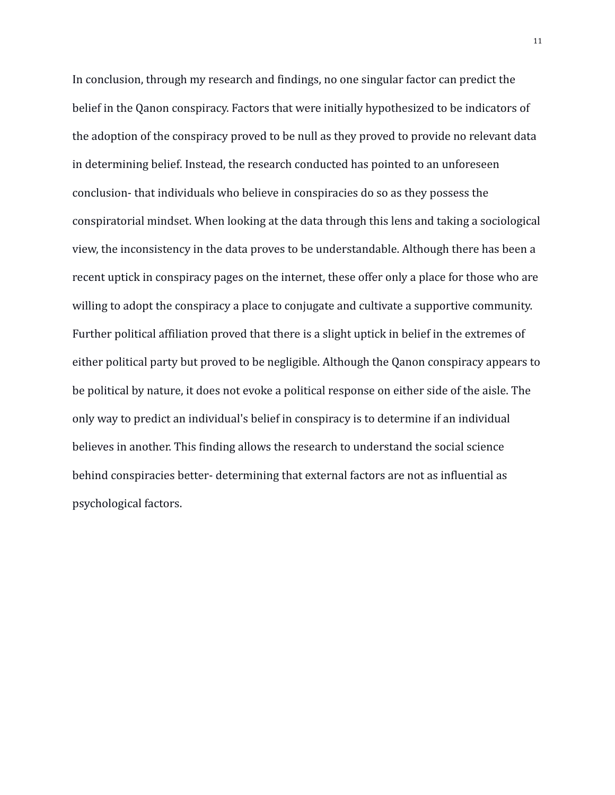In conclusion, through my research and findings, no one singular factor can predict the belief in the Qanon conspiracy. Factors that were initially hypothesized to be indicators of the adoption of the conspiracy proved to be null as they proved to provide no relevant data in determining belief. Instead, the research conducted has pointed to an unforeseen conclusion- that individuals who believe in conspiracies do so as they possess the conspiratorial mindset. When looking at the data through this lens and taking a sociological view, the inconsistency in the data proves to be understandable. Although there has been a recent uptick in conspiracy pages on the internet, these offer only a place for those who are willing to adopt the conspiracy a place to conjugate and cultivate a supportive community. Further political affiliation proved that there is a slight uptick in belief in the extremes of either political party but proved to be negligible. Although the Qanon conspiracy appears to be political by nature, it does not evoke a political response on either side of the aisle. The only way to predict an individual's belief in conspiracy is to determine if an individual believes in another. This finding allows the research to understand the social science behind conspiracies better- determining that external factors are not as influential as psychological factors.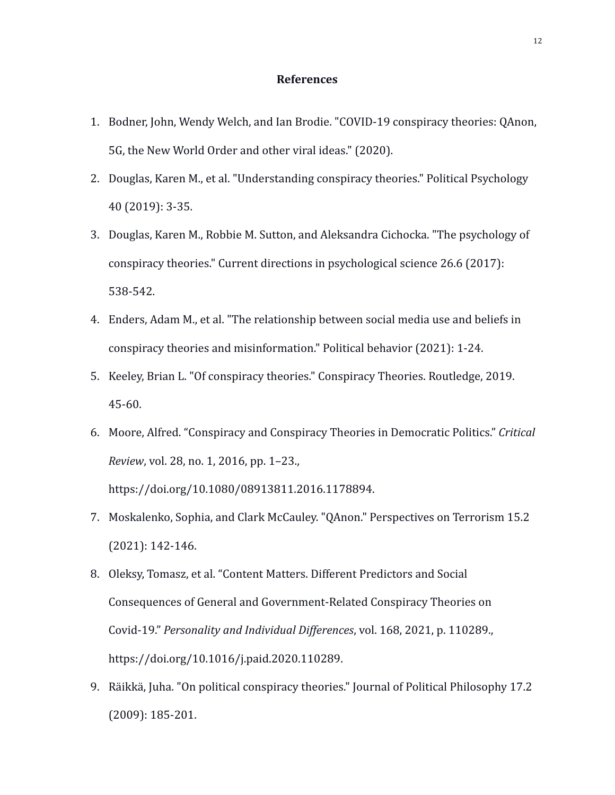## **References**

- 1. Bodner, John, Wendy Welch, and Ian Brodie. "COVID-19 conspiracy theories: QAnon, 5G, the New World Order and other viral ideas." (2020).
- 2. Douglas, Karen M., et al. "Understanding conspiracy theories." Political Psychology 40 (2019): 3-35.
- 3. Douglas, Karen M., Robbie M. Sutton, and Aleksandra Cichocka. "The psychology of conspiracy theories." Current directions in psychological science 26.6 (2017): 538-542.
- 4. Enders, Adam M., et al. "The relationship between social media use and beliefs in conspiracy theories and misinformation." Political behavior (2021): 1-24.
- 5. Keeley, Brian L. "Of conspiracy theories." Conspiracy Theories. Routledge, 2019. 45-60.
- 6. Moore, Alfred. "Conspiracy and Conspiracy Theories in Democratic Politics." *Critical Review*, vol. 28, no. 1, 2016, pp. 1–23., https://doi.org/10.1080/08913811.2016.1178894.
- 7. Moskalenko, Sophia, and Clark McCauley. "QAnon." Perspectives on Terrorism 15.2 (2021): 142-146.
- 8. Oleksy, Tomasz, et al. "Content Matters. Different Predictors and Social Consequences of General and Government-Related Conspiracy Theories on Covid-19." *Personality and Individual Differences*, vol. 168, 2021, p. 110289., https://doi.org/10.1016/j.paid.2020.110289.
- 9. Räikkä, Juha. "On political conspiracy theories." Journal of Political Philosophy 17.2 (2009): 185-201.